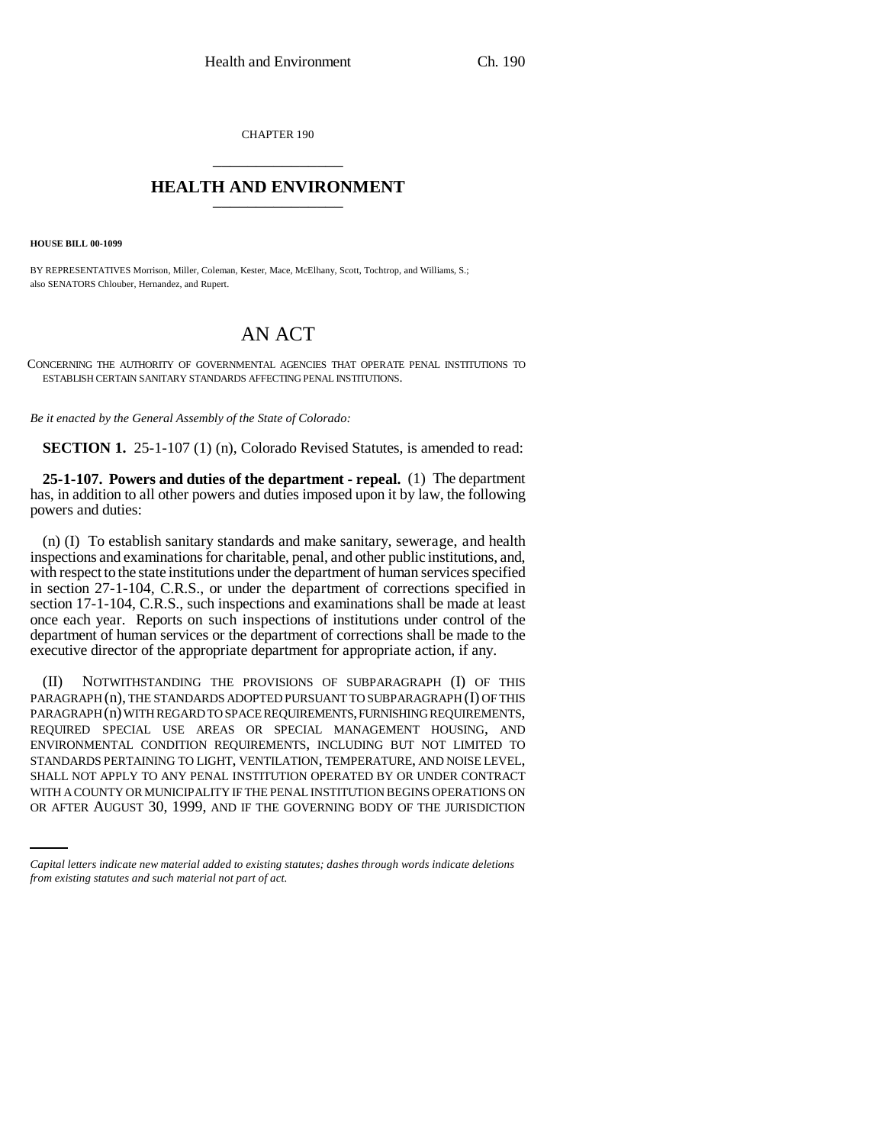CHAPTER 190 \_\_\_\_\_\_\_\_\_\_\_\_\_\_\_

## **HEALTH AND ENVIRONMENT** \_\_\_\_\_\_\_\_\_\_\_\_\_\_\_

**HOUSE BILL 00-1099** 

BY REPRESENTATIVES Morrison, Miller, Coleman, Kester, Mace, McElhany, Scott, Tochtrop, and Williams, S.; also SENATORS Chlouber, Hernandez, and Rupert.

## AN ACT

CONCERNING THE AUTHORITY OF GOVERNMENTAL AGENCIES THAT OPERATE PENAL INSTITUTIONS TO ESTABLISH CERTAIN SANITARY STANDARDS AFFECTING PENAL INSTITUTIONS.

*Be it enacted by the General Assembly of the State of Colorado:*

**SECTION 1.** 25-1-107 (1) (n), Colorado Revised Statutes, is amended to read:

**25-1-107. Powers and duties of the department - repeal.** (1) The department has, in addition to all other powers and duties imposed upon it by law, the following powers and duties:

(n) (I) To establish sanitary standards and make sanitary, sewerage, and health inspections and examinations for charitable, penal, and other public institutions, and, with respect to the state institutions under the department of human services specified in section 27-1-104, C.R.S., or under the department of corrections specified in section 17-1-104, C.R.S., such inspections and examinations shall be made at least once each year. Reports on such inspections of institutions under control of the department of human services or the department of corrections shall be made to the executive director of the appropriate department for appropriate action, if any.

SHALL NOT APPLY TO ANY PENAL INSTITUTION OPERATED BY OR UNDER CONTRACT (II) NOTWITHSTANDING THE PROVISIONS OF SUBPARAGRAPH (I) OF THIS PARAGRAPH (n), THE STANDARDS ADOPTED PURSUANT TO SUBPARAGRAPH (I) OF THIS PARAGRAPH (n) WITH REGARD TO SPACE REQUIREMENTS, FURNISHING REQUIREMENTS, REQUIRED SPECIAL USE AREAS OR SPECIAL MANAGEMENT HOUSING, AND ENVIRONMENTAL CONDITION REQUIREMENTS, INCLUDING BUT NOT LIMITED TO STANDARDS PERTAINING TO LIGHT, VENTILATION, TEMPERATURE, AND NOISE LEVEL, WITH A COUNTY OR MUNICIPALITY IF THE PENAL INSTITUTION BEGINS OPERATIONS ON OR AFTER AUGUST 30, 1999, AND IF THE GOVERNING BODY OF THE JURISDICTION

*Capital letters indicate new material added to existing statutes; dashes through words indicate deletions from existing statutes and such material not part of act.*